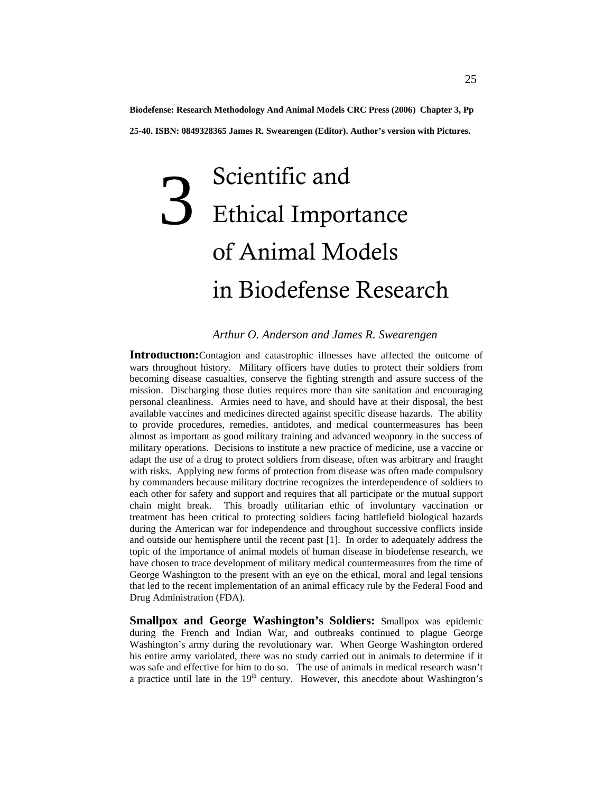**Biodefense: Research Methodology And Animal Models CRC Press (2006) Chapter 3, Pp 25-40. ISBN: 0849328365 James R. Swearengen (Editor). Author's version with Pictures.** 

## Scientific and<br>3 Ethical Import Ethical Importance of Animal Models in Biodefense Research

## *Arthur O. Anderson and James R. Swearengen*

**Introduction:**Contagion and catastrophic illnesses have affected the outcome of wars throughout history. Military officers have duties to protect their soldiers from becoming disease casualties, conserve the fighting strength and assure success of the mission. Discharging those duties requires more than site sanitation and encouraging personal cleanliness. Armies need to have, and should have at their disposal, the best available vaccines and medicines directed against specific disease hazards. The ability to provide procedures, remedies, antidotes, and medical countermeasures has been almost as important as good military training and advanced weaponry in the success of military operations. Decisions to institute a new practice of medicine, use a vaccine or adapt the use of a drug to protect soldiers from disease, often was arbitrary and fraught with risks. Applying new forms of protection from disease was often made compulsory by commanders because military doctrine recognizes the interdependence of soldiers to each other for safety and support and requires that all participate or the mutual support chain might break. This broadly utilitarian ethic of involuntary vaccination or treatment has been critical to protecting soldiers facing battlefield biological hazards during the American war for independence and throughout successive conflicts inside and outside our hemisphere until the recent past [1]. In order to adequately address the topic of the importance of animal models of human disease in biodefense research, we have chosen to trace development of military medical countermeasures from the time of George Washington to the present with an eye on the ethical, moral and legal tensions that led to the recent implementation of an animal efficacy rule by the Federal Food and Drug Administration (FDA).

**Smallpox and George Washington's Soldiers:** Smallpox was epidemic during the French and Indian War, and outbreaks continued to plague George Washington's army during the revolutionary war. When George Washington ordered his entire army variolated, there was no study carried out in animals to determine if it was safe and effective for him to do so. The use of animals in medical research wasn't a practice until late in the  $19<sup>th</sup>$  century. However, this anecdote about Washington's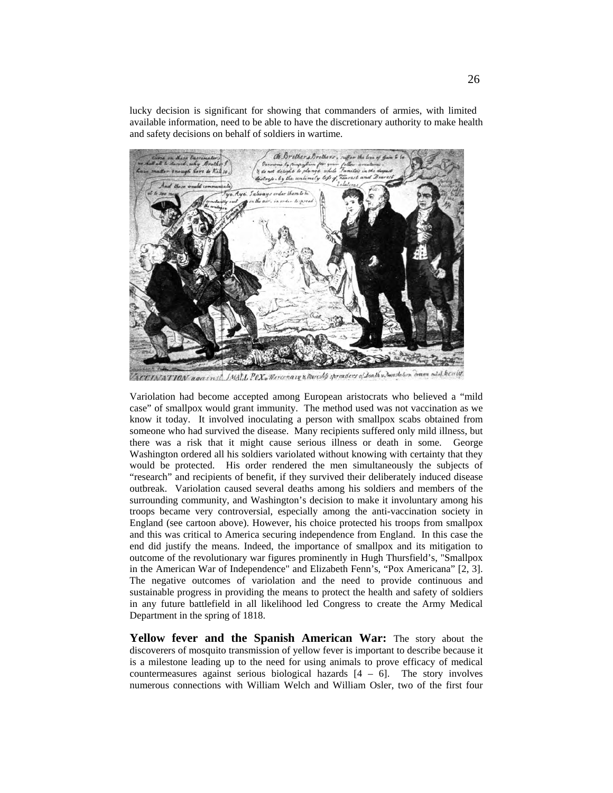lucky decision is significant for showing that commanders of armies, with limited available information, need to be able to have the discretionary authority to make health and safety decisions on behalf of soldiers in wartime.



Variolation had become accepted among European aristocrats who believed a "mild case" of smallpox would grant immunity. The method used was not vaccination as we know it today. It involved inoculating a person with smallpox scabs obtained from someone who had survived the disease. Many recipients suffered only mild illness, but there was a risk that it might cause serious illness or death in some. George Washington ordered all his soldiers variolated without knowing with certainty that they would be protected. His order rendered the men simultaneously the subjects of "research" and recipients of benefit, if they survived their deliberately induced disease outbreak. Variolation caused several deaths among his soldiers and members of the surrounding community, and Washington's decision to make it involuntary among his troops became very controversial, especially among the anti-vaccination society in England (see cartoon above). However, his choice protected his troops from smallpox and this was critical to America securing independence from England. In this case the end did justify the means. Indeed, the importance of smallpox and its mitigation to outcome of the revolutionary war figures prominently in Hugh Thursfield's, "Smallpox in the American War of Independence" and Elizabeth Fenn's, "Pox Americana" [2, 3]. The negative outcomes of variolation and the need to provide continuous and sustainable progress in providing the means to protect the health and safety of soldiers in any future battlefield in all likelihood led Congress to create the Army Medical Department in the spring of 1818.

Yellow fever and the Spanish American War: The story about the discoverers of mosquito transmission of yellow fever is important to describe because it is a milestone leading up to the need for using animals to prove efficacy of medical countermeasures against serious biological hazards  $[4 - 6]$ . The story involves numerous connections with William Welch and William Osler, two of the first four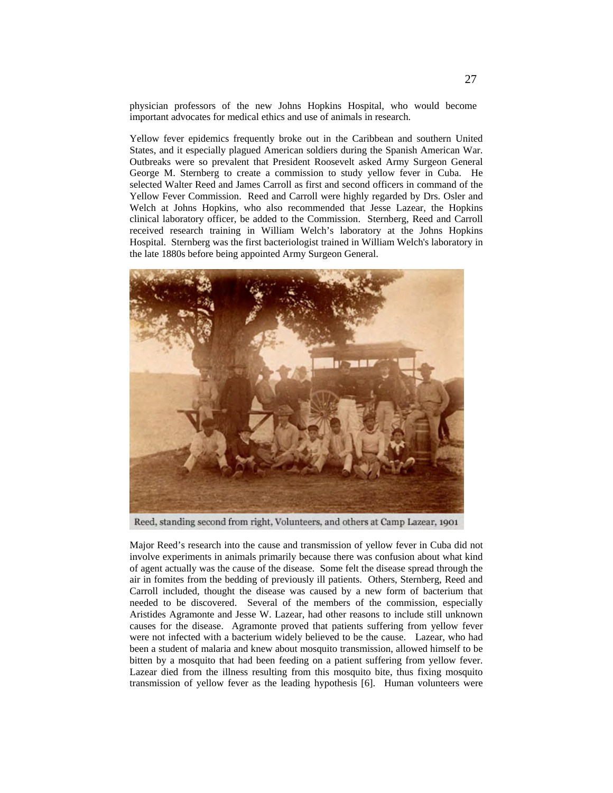physician professors of the new Johns Hopkins Hospital, who would become important advocates for medical ethics and use of animals in research.

Yellow fever epidemics frequently broke out in the Caribbean and southern United States, and it especially plagued American soldiers during the Spanish American War. Outbreaks were so prevalent that President Roosevelt asked Army Surgeon General George M. Sternberg to create a commission to study yellow fever in Cuba. He selected Walter Reed and James Carroll as first and second officers in command of the Yellow Fever Commission. Reed and Carroll were highly regarded by Drs. Osler and Welch at Johns Hopkins, who also recommended that Jesse Lazear, the Hopkins clinical laboratory officer, be added to the Commission. Sternberg, Reed and Carroll received research training in William Welch's laboratory at the Johns Hopkins Hospital. Sternberg was the first bacteriologist trained in William Welch's laboratory in the late 1880s before being appointed Army Surgeon General.



Reed, standing second from right, Volunteers, and others at Camp Lazear, 1901

Major Reed's research into the cause and transmission of yellow fever in Cuba did not involve experiments in animals primarily because there was confusion about what kind of agent actually was the cause of the disease. Some felt the disease spread through the air in fomites from the bedding of previously ill patients. Others, Sternberg, Reed and Carroll included, thought the disease was caused by a new form of bacterium that needed to be discovered. Several of the members of the commission, especially Aristides Agramonte and Jesse W. Lazear, had other reasons to include still unknown causes for the disease. Agramonte proved that patients suffering from yellow fever were not infected with a bacterium widely believed to be the cause. Lazear, who had been a student of malaria and knew about mosquito transmission, allowed himself to be bitten by a mosquito that had been feeding on a patient suffering from yellow fever. Lazear died from the illness resulting from this mosquito bite, thus fixing mosquito transmission of yellow fever as the leading hypothesis [6]. Human volunteers were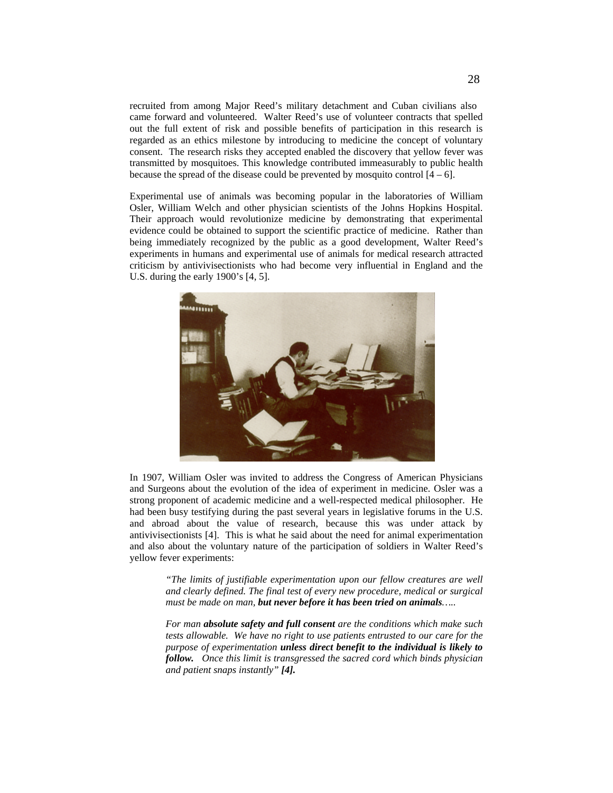recruited from among Major Reed's military detachment and Cuban civilians also came forward and volunteered. Walter Reed's use of volunteer contracts that spelled out the full extent of risk and possible benefits of participation in this research is regarded as an ethics milestone by introducing to medicine the concept of voluntary consent. The research risks they accepted enabled the discovery that yellow fever was transmitted by mosquitoes. This knowledge contributed immeasurably to public health because the spread of the disease could be prevented by mosquito control  $[4 - 6]$ .

Experimental use of animals was becoming popular in the laboratories of William Osler, William Welch and other physician scientists of the Johns Hopkins Hospital. Their approach would revolutionize medicine by demonstrating that experimental evidence could be obtained to support the scientific practice of medicine. Rather than being immediately recognized by the public as a good development, Walter Reed's experiments in humans and experimental use of animals for medical research attracted criticism by antivivisectionists who had become very influential in England and the U.S. during the early 1900's [4, 5].



In 1907, William Osler was invited to address the Congress of American Physicians and Surgeons about the evolution of the idea of experiment in medicine. Osler was a strong proponent of academic medicine and a well-respected medical philosopher. He had been busy testifying during the past several years in legislative forums in the U.S. and abroad about the value of research, because this was under attack by antivivisectionists [4]. This is what he said about the need for animal experimentation and also about the voluntary nature of the participation of soldiers in Walter Reed's yellow fever experiments:

> *"The limits of justifiable experimentation upon our fellow creatures are well and clearly defined. The final test of every new procedure, medical or surgical must be made on man, but never before it has been tried on animals…..*

> *For man absolute safety and full consent are the conditions which make such tests allowable. We have no right to use patients entrusted to our care for the purpose of experimentation unless direct benefit to the individual is likely to follow. Once this limit is transgressed the sacred cord which binds physician and patient snaps instantly" [4].*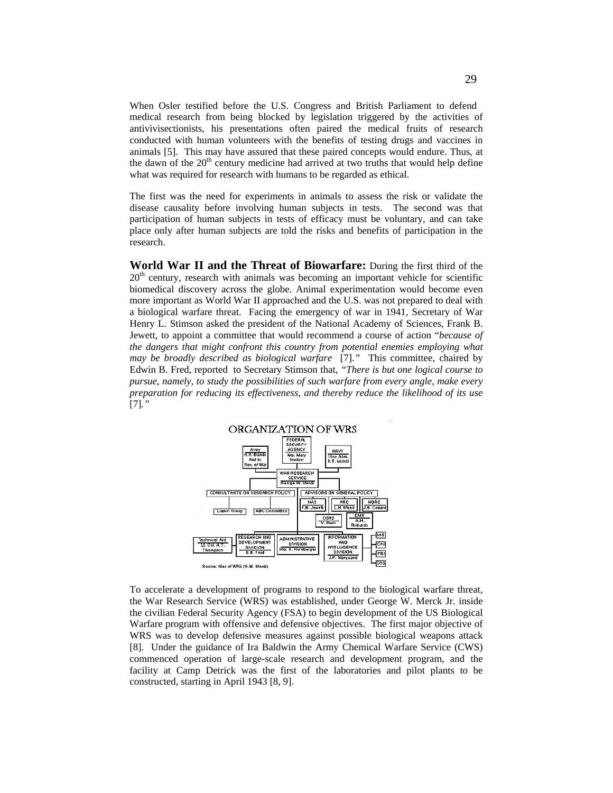When Osler testified before the U.S. Congress and British Parliament to defend medical research from being blocked by legislation triggered by the activities of antivivisectionists, his presentations often paired the medical fruits of research conducted with human volunteers with the benefits of testing drugs and vaccines in animals [5]. This may have assured that these paired concepts would endure. Thus, at the dawn of the  $20<sup>th</sup>$  century medicine had arrived at two truths that would help define what was required for research with humans to be regarded as ethical.

The first was the need for experiments in animals to assess the risk or validate the disease causality before involving human subjects in tests. The second was that participation of human subjects in tests of efficacy must be voluntary, and can take place only after human subjects are told the risks and benefits of participation in the research.

**World War II and the Threat of Biowarfare:** During the first third of the  $20<sup>th</sup>$  century, research with animals was becoming an important vehicle for scientific biomedical discovery across the globe. Animal experimentation would become even more important as World War II approached and the U.S. was not prepared to deal with a biological warfare threat. Facing the emergency of war in 1941, Secretary of War Henry L. Stimson asked the president of the National Academy of Sciences, Frank B. Jewett, to appoint a committee that would recommend a course of action "*because of the dangers that might confront this country from potential enemies employing what may be broadly described as biological warfare* [7].*"* This committee, chaired by Edwin B. Fred, reported to Secretary Stimson that, *"There is but one logical course to pursue, namely, to study the possibilities of such warfare from every angle, make every preparation for reducing its effectiveness, and thereby reduce the likelihood of its use*  [7]*."*



To accelerate a development of programs to respond to the biological warfare threat, the War Research Service (WRS) was established, under George W. Merck Jr. inside the civilian Federal Security Agency (FSA) to begin development of the US Biological Warfare program with offensive and defensive objectives. The first major objective of WRS was to develop defensive measures against possible biological weapons attack [8]. Under the guidance of Ira Baldwin the Army Chemical Warfare Service (CWS) commenced operation of large-scale research and development program, and the facility at Camp Detrick was the first of the laboratories and pilot plants to be constructed, starting in April 1943 [8, 9].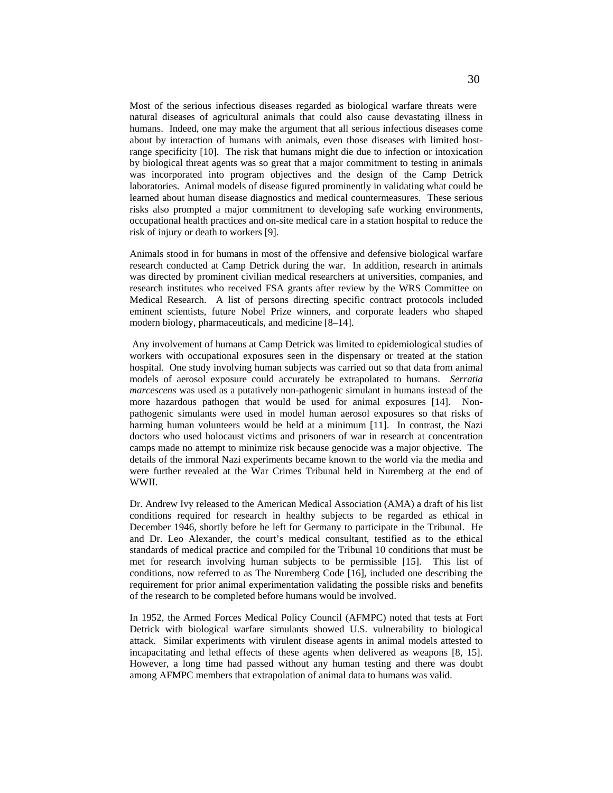Most of the serious infectious diseases regarded as biological warfare threats were natural diseases of agricultural animals that could also cause devastating illness in humans. Indeed, one may make the argument that all serious infectious diseases come about by interaction of humans with animals, even those diseases with limited hostrange specificity [10]. The risk that humans might die due to infection or intoxication by biological threat agents was so great that a major commitment to testing in animals was incorporated into program objectives and the design of the Camp Detrick laboratories. Animal models of disease figured prominently in validating what could be learned about human disease diagnostics and medical countermeasures. These serious risks also prompted a major commitment to developing safe working environments, occupational health practices and on-site medical care in a station hospital to reduce the risk of injury or death to workers [9].

Animals stood in for humans in most of the offensive and defensive biological warfare research conducted at Camp Detrick during the war. In addition, research in animals was directed by prominent civilian medical researchers at universities, companies, and research institutes who received FSA grants after review by the WRS Committee on Medical Research. A list of persons directing specific contract protocols included eminent scientists, future Nobel Prize winners, and corporate leaders who shaped modern biology, pharmaceuticals, and medicine [8–14].

 Any involvement of humans at Camp Detrick was limited to epidemiological studies of workers with occupational exposures seen in the dispensary or treated at the station hospital. One study involving human subjects was carried out so that data from animal models of aerosol exposure could accurately be extrapolated to humans. *Serratia marcescens* was used as a putatively non-pathogenic simulant in humans instead of the more hazardous pathogen that would be used for animal exposures [14]. Nonpathogenic simulants were used in model human aerosol exposures so that risks of harming human volunteers would be held at a minimum [11]. In contrast, the Nazi doctors who used holocaust victims and prisoners of war in research at concentration camps made no attempt to minimize risk because genocide was a major objective. The details of the immoral Nazi experiments became known to the world via the media and were further revealed at the War Crimes Tribunal held in Nuremberg at the end of WWII.

Dr. Andrew Ivy released to the American Medical Association (AMA) a draft of his list conditions required for research in healthy subjects to be regarded as ethical in December 1946, shortly before he left for Germany to participate in the Tribunal. He and Dr. Leo Alexander, the court's medical consultant, testified as to the ethical standards of medical practice and compiled for the Tribunal 10 conditions that must be met for research involving human subjects to be permissible [15]. This list of conditions, now referred to as The Nuremberg Code [16], included one describing the requirement for prior animal experimentation validating the possible risks and benefits of the research to be completed before humans would be involved.

In 1952, the Armed Forces Medical Policy Council (AFMPC) noted that tests at Fort Detrick with biological warfare simulants showed U.S. vulnerability to biological attack. Similar experiments with virulent disease agents in animal models attested to incapacitating and lethal effects of these agents when delivered as weapons [8, 15]. However, a long time had passed without any human testing and there was doubt among AFMPC members that extrapolation of animal data to humans was valid.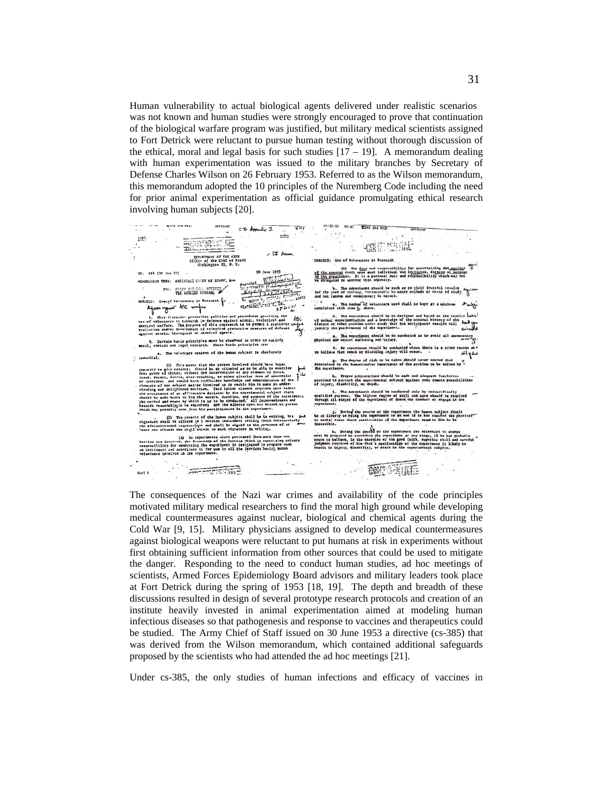Human vulnerability to actual biological agents delivered under realistic scenarios was not known and human studies were strongly encouraged to prove that continuation of the biological warfare program was justified, but military medical scientists assigned to Fort Detrick were reluctant to pursue human testing without thorough discussion of the ethical, moral and legal basis for such studies  $[17 - 19]$ . A memorandum dealing with human experimentation was issued to the military branches by Secretary of Defense Charles Wilson on 26 February 1953. Referred to as the Wilson memorandum, this memorandum adopted the 10 principles of the Nuremberg Code including the need for prior animal experimentation as official guidance promulgating ethical research involving human subjects [20].

| <b>AGVISOR</b>                                                                                                                                                   | 12002 254<br>Adrison                                                                                                                                           |
|------------------------------------------------------------------------------------------------------------------------------------------------------------------|----------------------------------------------------------------------------------------------------------------------------------------------------------------|
|                                                                                                                                                                  |                                                                                                                                                                |
|                                                                                                                                                                  |                                                                                                                                                                |
|                                                                                                                                                                  |                                                                                                                                                                |
|                                                                                                                                                                  |                                                                                                                                                                |
| . OS Muss<br>DEPARTMENT OF THE ARMY                                                                                                                              |                                                                                                                                                                |
| Office of the Chid of Statt                                                                                                                                      | SUBJECT: Use of Volumecars in Ansenrch                                                                                                                         |
| Weshington 25, D. C.                                                                                                                                             | (3) The duty and responsibility for ascertaining the sucility                                                                                                  |
| 30 June 1953<br>CS: 383 (30 Jun 53)                                                                                                                              | of the consent rests upon each individual who initiates, directs or antenes                                                                                    |
|                                                                                                                                                                  | In the expeciment. It is a personal duty and responsibility which may not                                                                                      |
| HOMELLUM THRU: ASSISTANT CHIEF OF STAFF, G-4<br>Regrates                                                                                                         | be delegated to amother with impunity.                                                                                                                         |
| the environment of<br>FOL: CALLY COLLECTION OFFICE                                                                                                               | b. The experiment should be such as to yield fruitful results                                                                                                  |
| THE SURGION GENERAL                                                                                                                                              | for the ened at sectory, measurable by other nethods or nexas of study.                                                                                        |
|                                                                                                                                                                  | and not randon and unnecessary in nature.                                                                                                                      |
| SUBJECT: Compf Volunceers in Research 6                                                                                                                          | c. The number of volunteers used shall be kept at a minimum                                                                                                    |
| difuse upon the warfus                                                                                                                                           | consistent with itan b, above.                                                                                                                                 |
| 1. This directive preseribes policies and procedures governing the                                                                                               | d. The experiment should be go designed and based on the results hand                                                                                          |
| ABC<br>use of voluntaers in repearch in defense stainst atonic, biological and                                                                                   | of animal experimentation and a knowledge of the untural history of the<br>disease or other problem under study that the anticipated results will              |
| chemical warfare. The purpose of this ressuresh is to permit a realistic wo-lot<br>evaluation and/or dovalogment of effective preventive measures of defense     | justify the parformance of the oxparisent.                                                                                                                     |
| against atoute, biological or chemical agents.                                                                                                                   |                                                                                                                                                                |
|                                                                                                                                                                  | a. The experiment should be so conducted as to sveid all unnecessary<br>physical and mental suffering and injury.                                              |
| 2. Certain basic principles must be observed in order to satisfy<br>moral, ethical and legal concepts. These basis principles are:                               |                                                                                                                                                                |
|                                                                                                                                                                  | ?. No experience should be conducted where there is a prior reason war                                                                                         |
| a. The voluntary consent of the human subject is absolutely                                                                                                      | to bolieve that deach or discbling injury will occur.                                                                                                          |
| ussantial.                                                                                                                                                       | n. The degree of risk to be taken should never exceed that                                                                                                     |
| (1) This moons that the porton involved should have legal                                                                                                        | determined by the humanitarian importance of the problem to be solved by                                                                                       |
| capacity to give consent; should be so situated as to be able to exection                                                                                        | the experisons.                                                                                                                                                |
| free pouet of choice, without the intervention of any element of fores,<br>Đм.                                                                                   | h. Proper preparations should be made and adequate facilities                                                                                                  |
| fraud, deceit, durans, over-resching, or other ulterior form of constraint<br>or coorcion; and should have sufficient knowledge and semprehension of the         | provided to protect the aspecianntal subject against even remote possibilities                                                                                 |
| elements of the subject matter involved as to enable bin to make an under-                                                                                       | of injury, disability, or death.                                                                                                                               |
| standing and calightened decision. This latter elevent requires that before                                                                                      | i. The experiment should be conducted only by scientifically                                                                                                   |
| the pocceptance of an affirmative decision by the experimental subject there<br>should be made known to him the mature, duration, and surpose of the experiment; | qualified parsons. The highest degree of skill and care should be required                                                                                     |
| the nethod and manne by which it is to be conducted;' all inconveniences and                                                                                     | through all stages of the experiment of these who conduct or engage in the                                                                                     |
| hazards reasonably, to be axpected; and the effects open his hesith or person                                                                                    | experiment.                                                                                                                                                    |
| which way possibly come from his participation in the experiment.                                                                                                | j. During the course of the experiment the homen subject should                                                                                                |
| ۰.<br>(2) The consent of the human subject shall be in writing, his took                                                                                         | ha at liberty to bring the experiment to an end if he has reached the physical"                                                                                |
| signature shall be affixed to : written instrument setting forth substancially                                                                                   | or mental state where continuation of the experiment seem to him to be                                                                                         |
| the aforeoentioned requirements and shall be signed in the presence of at                                                                                        | inpessible.                                                                                                                                                    |
| least one witness who shall steest to such signature in writing.                                                                                                 | k. During the coused of the experiment the sciencist in charge                                                                                                 |
| (a) In constituents where portounel from nore than one                                                                                                           | sust be propured to secolidate the experiment at any stage. if he has orobable                                                                                 |
| Service are involved, the Secretary of the Service which is exercising printry                                                                                   | cause to believe, in the exercise of the good faith, superior skill and earoful<br>judgment required of him that a continuation of the crocyleent is likely to |
| responsibility for conducting the exporinent is designated to propare such<br>an instrument and coordinate is for use by all the Services having human           | tesult in injury, disability, or death to the experimental subject.                                                                                            |
| voluntaors intolved in the experiment.                                                                                                                           |                                                                                                                                                                |
|                                                                                                                                                                  |                                                                                                                                                                |
|                                                                                                                                                                  |                                                                                                                                                                |
|                                                                                                                                                                  |                                                                                                                                                                |
| foci i                                                                                                                                                           |                                                                                                                                                                |
|                                                                                                                                                                  |                                                                                                                                                                |

The consequences of the Nazi war crimes and availability of the code principles motivated military medical researchers to find the moral high ground while developing medical countermeasures against nuclear, biological and chemical agents during the Cold War [9, 15]. Military physicians assigned to develop medical countermeasures against biological weapons were reluctant to put humans at risk in experiments without first obtaining sufficient information from other sources that could be used to mitigate the danger. Responding to the need to conduct human studies, ad hoc meetings of scientists, Armed Forces Epidemiology Board advisors and military leaders took place at Fort Detrick during the spring of 1953 [18, 19]. The depth and breadth of these discussions resulted in design of several prototype research protocols and creation of an institute heavily invested in animal experimentation aimed at modeling human infectious diseases so that pathogenesis and response to vaccines and therapeutics could be studied. The Army Chief of Staff issued on 30 June 1953 a directive (cs-385) that was derived from the Wilson memorandum, which contained additional safeguards proposed by the scientists who had attended the ad hoc meetings [21].

Under cs-385, the only studies of human infections and efficacy of vaccines in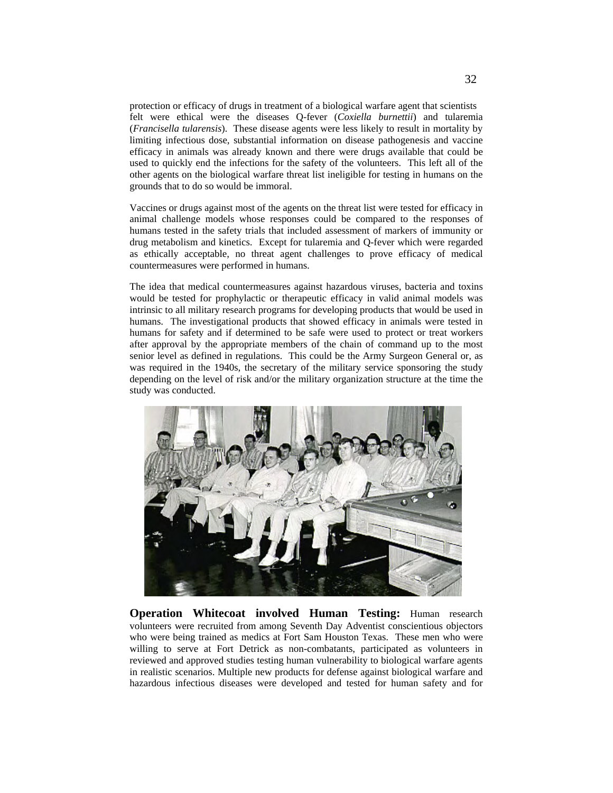protection or efficacy of drugs in treatment of a biological warfare agent that scientists felt were ethical were the diseases Q-fever (*Coxiella burnettii*) and tularemia (*Francisella tularensis*). These disease agents were less likely to result in mortality by limiting infectious dose, substantial information on disease pathogenesis and vaccine efficacy in animals was already known and there were drugs available that could be used to quickly end the infections for the safety of the volunteers. This left all of the other agents on the biological warfare threat list ineligible for testing in humans on the grounds that to do so would be immoral.

Vaccines or drugs against most of the agents on the threat list were tested for efficacy in animal challenge models whose responses could be compared to the responses of humans tested in the safety trials that included assessment of markers of immunity or drug metabolism and kinetics. Except for tularemia and Q-fever which were regarded as ethically acceptable, no threat agent challenges to prove efficacy of medical countermeasures were performed in humans.

The idea that medical countermeasures against hazardous viruses, bacteria and toxins would be tested for prophylactic or therapeutic efficacy in valid animal models was intrinsic to all military research programs for developing products that would be used in humans. The investigational products that showed efficacy in animals were tested in humans for safety and if determined to be safe were used to protect or treat workers after approval by the appropriate members of the chain of command up to the most senior level as defined in regulations. This could be the Army Surgeon General or, as was required in the 1940s, the secretary of the military service sponsoring the study depending on the level of risk and/or the military organization structure at the time the study was conducted.



**Operation Whitecoat involved Human Testing:** Human research volunteers were recruited from among Seventh Day Adventist conscientious objectors who were being trained as medics at Fort Sam Houston Texas. These men who were willing to serve at Fort Detrick as non-combatants, participated as volunteers in reviewed and approved studies testing human vulnerability to biological warfare agents in realistic scenarios. Multiple new products for defense against biological warfare and hazardous infectious diseases were developed and tested for human safety and for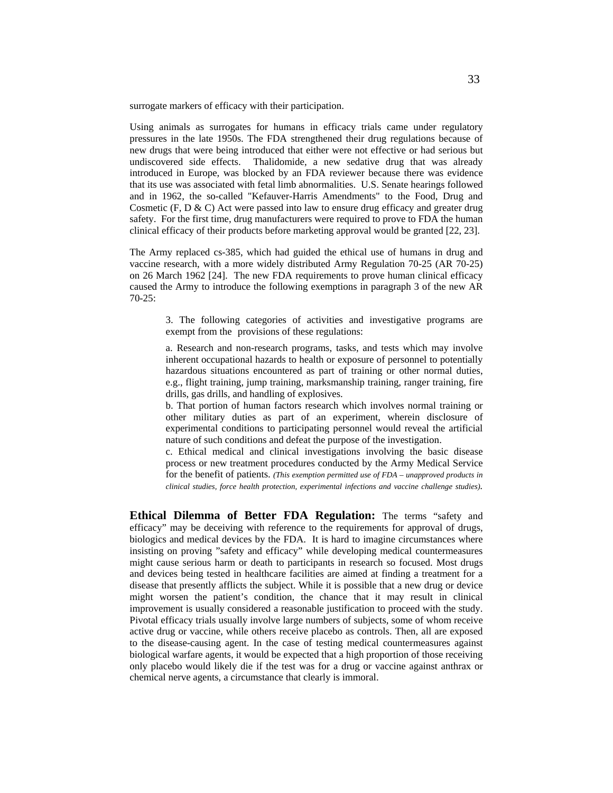surrogate markers of efficacy with their participation.

Using animals as surrogates for humans in efficacy trials came under regulatory pressures in the late 1950s. The FDA strengthened their drug regulations because of new drugs that were being introduced that either were not effective or had serious but undiscovered side effects. Thalidomide, a new sedative drug that was already introduced in Europe, was blocked by an FDA reviewer because there was evidence that its use was associated with fetal limb abnormalities. U.S. Senate hearings followed and in 1962, the so-called "Kefauver-Harris Amendments" to the Food, Drug and Cosmetic  $(F, D & C)$  Act were passed into law to ensure drug efficacy and greater drug safety. For the first time, drug manufacturers were required to prove to FDA the human clinical efficacy of their products before marketing approval would be granted [22, 23].

The Army replaced cs-385, which had guided the ethical use of humans in drug and vaccine research, with a more widely distributed Army Regulation 70-25 (AR 70-25) on 26 March 1962 [24]. The new FDA requirements to prove human clinical efficacy caused the Army to introduce the following exemptions in paragraph 3 of the new AR 70-25:

3. The following categories of activities and investigative programs are exempt from the provisions of these regulations:

a. Research and non-research programs, tasks, and tests which may involve inherent occupational hazards to health or exposure of personnel to potentially hazardous situations encountered as part of training or other normal duties, e.g., flight training, jump training, marksmanship training, ranger training, fire drills, gas drills, and handling of explosives.

b. That portion of human factors research which involves normal training or other military duties as part of an experiment, wherein disclosure of experimental conditions to participating personnel would reveal the artificial nature of such conditions and defeat the purpose of the investigation.

c. Ethical medical and clinical investigations involving the basic disease process or new treatment procedures conducted by the Army Medical Service for the benefit of patients. *(This exemption permitted use of FDA – unapproved products in clinical studies, force health protection, experimental infections and vaccine challenge studies).* 

**Ethical Dilemma of Better FDA Regulation:** The terms "safety and efficacy" may be deceiving with reference to the requirements for approval of drugs, biologics and medical devices by the FDA. It is hard to imagine circumstances where insisting on proving "safety and efficacy" while developing medical countermeasures might cause serious harm or death to participants in research so focused. Most drugs and devices being tested in healthcare facilities are aimed at finding a treatment for a disease that presently afflicts the subject. While it is possible that a new drug or device might worsen the patient's condition, the chance that it may result in clinical improvement is usually considered a reasonable justification to proceed with the study. Pivotal efficacy trials usually involve large numbers of subjects, some of whom receive active drug or vaccine, while others receive placebo as controls. Then, all are exposed to the disease-causing agent. In the case of testing medical countermeasures against biological warfare agents, it would be expected that a high proportion of those receiving only placebo would likely die if the test was for a drug or vaccine against anthrax or chemical nerve agents, a circumstance that clearly is immoral.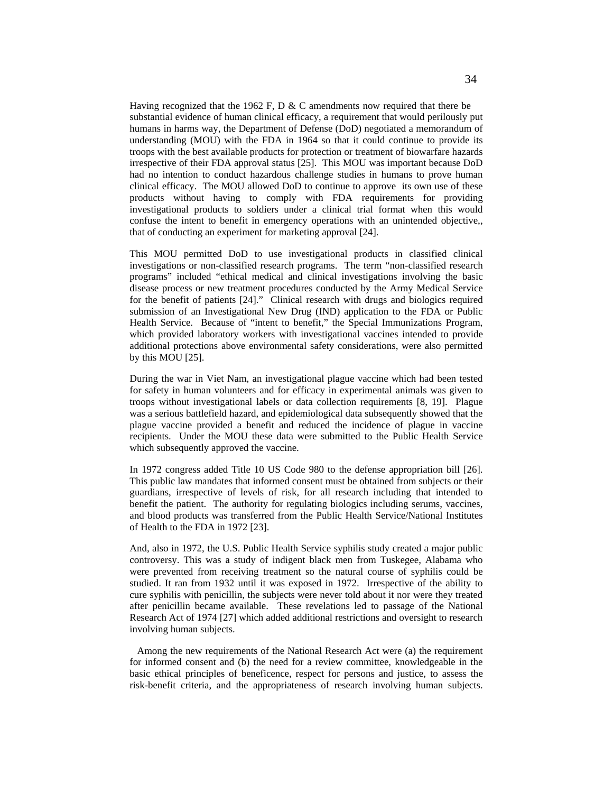Having recognized that the 1962 F, D & C amendments now required that there be substantial evidence of human clinical efficacy, a requirement that would perilously put humans in harms way, the Department of Defense (DoD) negotiated a memorandum of understanding (MOU) with the FDA in 1964 so that it could continue to provide its troops with the best available products for protection or treatment of biowarfare hazards irrespective of their FDA approval status [25]. This MOU was important because DoD had no intention to conduct hazardous challenge studies in humans to prove human clinical efficacy. The MOU allowed DoD to continue to approve its own use of these products without having to comply with FDA requirements for providing investigational products to soldiers under a clinical trial format when this would confuse the intent to benefit in emergency operations with an unintended objective,, that of conducting an experiment for marketing approval [24].

This MOU permitted DoD to use investigational products in classified clinical investigations or non-classified research programs. The term "non-classified research programs" included "ethical medical and clinical investigations involving the basic disease process or new treatment procedures conducted by the Army Medical Service for the benefit of patients [24]." Clinical research with drugs and biologics required submission of an Investigational New Drug (IND) application to the FDA or Public Health Service. Because of "intent to benefit," the Special Immunizations Program, which provided laboratory workers with investigational vaccines intended to provide additional protections above environmental safety considerations, were also permitted by this MOU [25].

During the war in Viet Nam, an investigational plague vaccine which had been tested for safety in human volunteers and for efficacy in experimental animals was given to troops without investigational labels or data collection requirements [8, 19]. Plague was a serious battlefield hazard, and epidemiological data subsequently showed that the plague vaccine provided a benefit and reduced the incidence of plague in vaccine recipients. Under the MOU these data were submitted to the Public Health Service which subsequently approved the vaccine.

In 1972 congress added Title 10 US Code 980 to the defense appropriation bill [26]. This public law mandates that informed consent must be obtained from subjects or their guardians, irrespective of levels of risk, for all research including that intended to benefit the patient. The authority for regulating biologics including serums, vaccines, and blood products was transferred from the Public Health Service/National Institutes of Health to the FDA in 1972 [23].

And, also in 1972, the U.S. Public Health Service syphilis study created a major public controversy. This was a study of indigent black men from Tuskegee, Alabama who were prevented from receiving treatment so the natural course of syphilis could be studied. It ran from 1932 until it was exposed in 1972. Irrespective of the ability to cure syphilis with penicillin, the subjects were never told about it nor were they treated after penicillin became available. These revelations led to passage of the National Research Act of 1974 [27] which added additional restrictions and oversight to research involving human subjects.

 Among the new requirements of the National Research Act were (a) the requirement for informed consent and (b) the need for a review committee, knowledgeable in the basic ethical principles of beneficence, respect for persons and justice, to assess the risk-benefit criteria, and the appropriateness of research involving human subjects.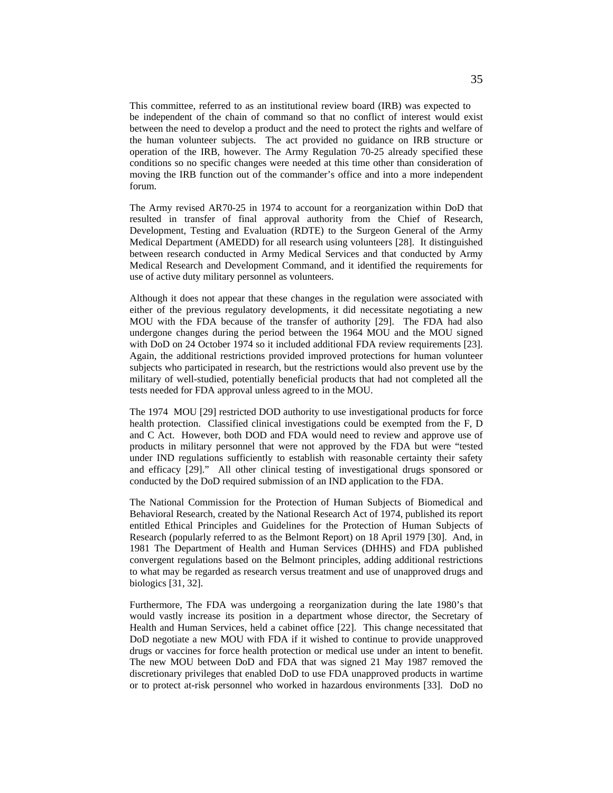This committee, referred to as an institutional review board (IRB) was expected to be independent of the chain of command so that no conflict of interest would exist between the need to develop a product and the need to protect the rights and welfare of the human volunteer subjects. The act provided no guidance on IRB structure or operation of the IRB, however. The Army Regulation 70-25 already specified these conditions so no specific changes were needed at this time other than consideration of moving the IRB function out of the commander's office and into a more independent forum.

The Army revised AR70-25 in 1974 to account for a reorganization within DoD that resulted in transfer of final approval authority from the Chief of Research, Development, Testing and Evaluation (RDTE) to the Surgeon General of the Army Medical Department (AMEDD) for all research using volunteers [28]. It distinguished between research conducted in Army Medical Services and that conducted by Army Medical Research and Development Command, and it identified the requirements for use of active duty military personnel as volunteers.

Although it does not appear that these changes in the regulation were associated with either of the previous regulatory developments, it did necessitate negotiating a new MOU with the FDA because of the transfer of authority [29]. The FDA had also undergone changes during the period between the 1964 MOU and the MOU signed with DoD on 24 October 1974 so it included additional FDA review requirements [23]. Again, the additional restrictions provided improved protections for human volunteer subjects who participated in research, but the restrictions would also prevent use by the military of well-studied, potentially beneficial products that had not completed all the tests needed for FDA approval unless agreed to in the MOU.

The 1974 MOU [29] restricted DOD authority to use investigational products for force health protection. Classified clinical investigations could be exempted from the F, D and C Act. However, both DOD and FDA would need to review and approve use of products in military personnel that were not approved by the FDA but were "tested under IND regulations sufficiently to establish with reasonable certainty their safety and efficacy [29]." All other clinical testing of investigational drugs sponsored or conducted by the DoD required submission of an IND application to the FDA.

The National Commission for the Protection of Human Subjects of Biomedical and Behavioral Research, created by the National Research Act of 1974, published its report entitled Ethical Principles and Guidelines for the Protection of Human Subjects of Research (popularly referred to as the Belmont Report) on 18 April 1979 [30]. And, in 1981 The Department of Health and Human Services (DHHS) and FDA published convergent regulations based on the Belmont principles, adding additional restrictions to what may be regarded as research versus treatment and use of unapproved drugs and biologics [31, 32].

Furthermore, The FDA was undergoing a reorganization during the late 1980's that would vastly increase its position in a department whose director, the Secretary of Health and Human Services, held a cabinet office [22]. This change necessitated that DoD negotiate a new MOU with FDA if it wished to continue to provide unapproved drugs or vaccines for force health protection or medical use under an intent to benefit. The new MOU between DoD and FDA that was signed 21 May 1987 removed the discretionary privileges that enabled DoD to use FDA unapproved products in wartime or to protect at-risk personnel who worked in hazardous environments [33]. DoD no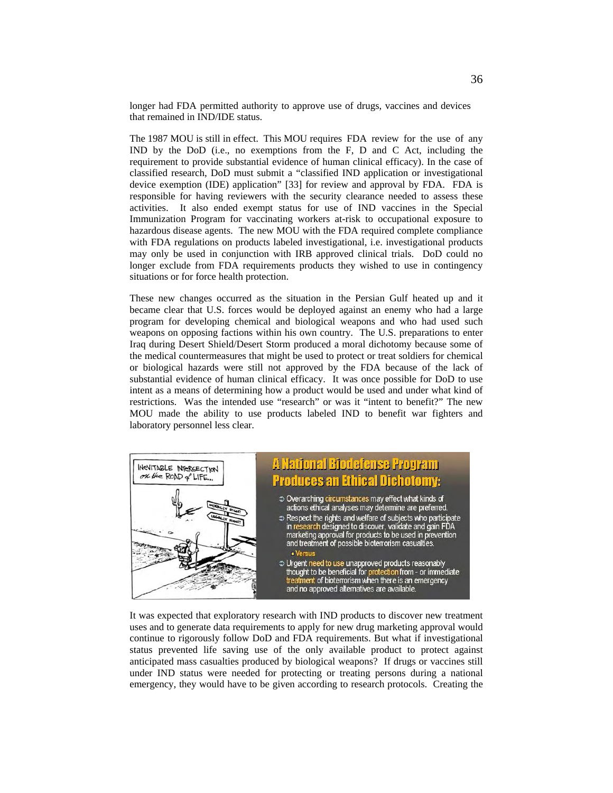longer had FDA permitted authority to approve use of drugs, vaccines and devices that remained in IND/IDE status.

The 1987 MOU is still in effect. This MOU requires FDA review for the use of any IND by the DoD (i.e., no exemptions from the F, D and C Act, including the requirement to provide substantial evidence of human clinical efficacy). In the case of classified research, DoD must submit a "classified IND application or investigational device exemption (IDE) application" [33] for review and approval by FDA. FDA is responsible for having reviewers with the security clearance needed to assess these activities. It also ended exempt status for use of IND vaccines in the Special Immunization Program for vaccinating workers at-risk to occupational exposure to hazardous disease agents. The new MOU with the FDA required complete compliance with FDA regulations on products labeled investigational, i.e. investigational products may only be used in conjunction with IRB approved clinical trials. DoD could no longer exclude from FDA requirements products they wished to use in contingency situations or for force health protection.

These new changes occurred as the situation in the Persian Gulf heated up and it became clear that U.S. forces would be deployed against an enemy who had a large program for developing chemical and biological weapons and who had used such weapons on opposing factions within his own country. The U.S. preparations to enter Iraq during Desert Shield/Desert Storm produced a moral dichotomy because some of the medical countermeasures that might be used to protect or treat soldiers for chemical or biological hazards were still not approved by the FDA because of the lack of substantial evidence of human clinical efficacy. It was once possible for DoD to use intent as a means of determining how a product would be used and under what kind of restrictions. Was the intended use "research" or was it "intent to benefit?" The new MOU made the ability to use products labeled IND to benefit war fighters and laboratory personnel less clear.



It was expected that exploratory research with IND products to discover new treatment uses and to generate data requirements to apply for new drug marketing approval would continue to rigorously follow DoD and FDA requirements. But what if investigational status prevented life saving use of the only available product to protect against anticipated mass casualties produced by biological weapons? If drugs or vaccines still under IND status were needed for protecting or treating persons during a national emergency, they would have to be given according to research protocols. Creating the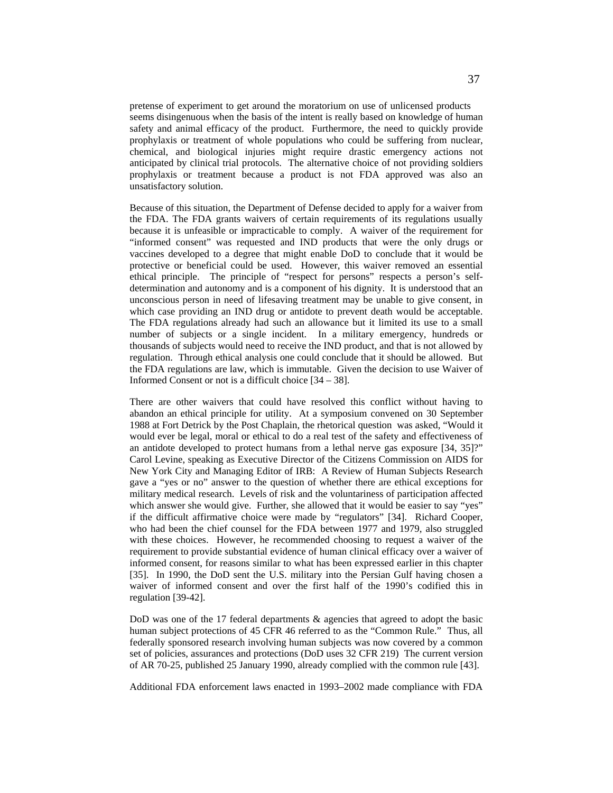pretense of experiment to get around the moratorium on use of unlicensed products seems disingenuous when the basis of the intent is really based on knowledge of human safety and animal efficacy of the product. Furthermore, the need to quickly provide prophylaxis or treatment of whole populations who could be suffering from nuclear, chemical, and biological injuries might require drastic emergency actions not anticipated by clinical trial protocols. The alternative choice of not providing soldiers prophylaxis or treatment because a product is not FDA approved was also an unsatisfactory solution.

Because of this situation, the Department of Defense decided to apply for a waiver from the FDA. The FDA grants waivers of certain requirements of its regulations usually because it is unfeasible or impracticable to comply. A waiver of the requirement for "informed consent" was requested and IND products that were the only drugs or vaccines developed to a degree that might enable DoD to conclude that it would be protective or beneficial could be used. However, this waiver removed an essential ethical principle. The principle of "respect for persons" respects a person's selfdetermination and autonomy and is a component of his dignity. It is understood that an unconscious person in need of lifesaving treatment may be unable to give consent, in which case providing an IND drug or antidote to prevent death would be acceptable. The FDA regulations already had such an allowance but it limited its use to a small number of subjects or a single incident. In a military emergency, hundreds or thousands of subjects would need to receive the IND product, and that is not allowed by regulation. Through ethical analysis one could conclude that it should be allowed. But the FDA regulations are law, which is immutable. Given the decision to use Waiver of Informed Consent or not is a difficult choice [34 – 38].

There are other waivers that could have resolved this conflict without having to abandon an ethical principle for utility. At a symposium convened on 30 September 1988 at Fort Detrick by the Post Chaplain, the rhetorical question was asked, "Would it would ever be legal, moral or ethical to do a real test of the safety and effectiveness of an antidote developed to protect humans from a lethal nerve gas exposure [34, 35]?" Carol Levine, speaking as Executive Director of the Citizens Commission on AIDS for New York City and Managing Editor of IRB: A Review of Human Subjects Research gave a "yes or no" answer to the question of whether there are ethical exceptions for military medical research. Levels of risk and the voluntariness of participation affected which answer she would give. Further, she allowed that it would be easier to say "yes" if the difficult affirmative choice were made by "regulators" [34]. Richard Cooper, who had been the chief counsel for the FDA between 1977 and 1979, also struggled with these choices. However, he recommended choosing to request a waiver of the requirement to provide substantial evidence of human clinical efficacy over a waiver of informed consent, for reasons similar to what has been expressed earlier in this chapter [35]. In 1990, the DoD sent the U.S. military into the Persian Gulf having chosen a waiver of informed consent and over the first half of the 1990's codified this in regulation [39-42].

DoD was one of the 17 federal departments & agencies that agreed to adopt the basic human subject protections of 45 CFR 46 referred to as the "Common Rule." Thus, all federally sponsored research involving human subjects was now covered by a common set of policies, assurances and protections (DoD uses 32 CFR 219) The current version of AR 70-25, published 25 January 1990, already complied with the common rule [43].

Additional FDA enforcement laws enacted in 1993–2002 made compliance with FDA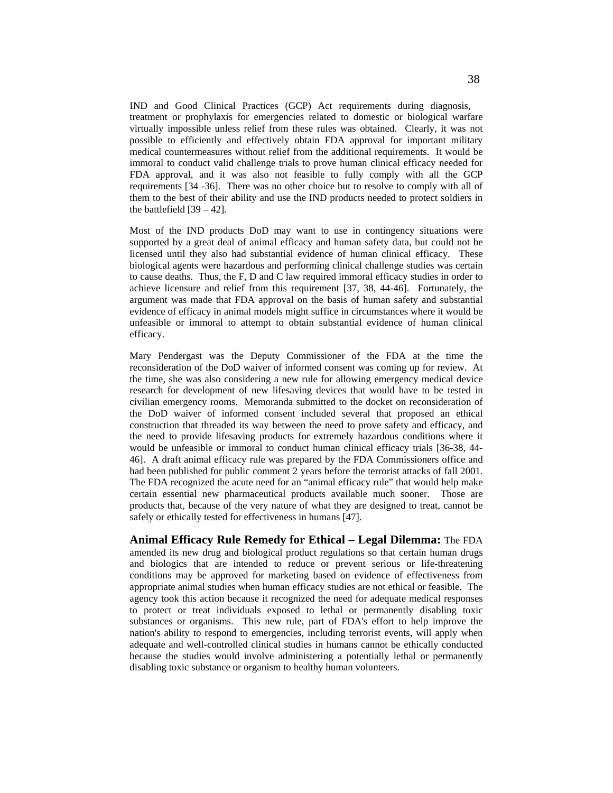IND and Good Clinical Practices (GCP) Act requirements during diagnosis, treatment or prophylaxis for emergencies related to domestic or biological warfare virtually impossible unless relief from these rules was obtained. Clearly, it was not possible to efficiently and effectively obtain FDA approval for important military medical countermeasures without relief from the additional requirements. It would be immoral to conduct valid challenge trials to prove human clinical efficacy needed for FDA approval, and it was also not feasible to fully comply with all the GCP requirements [34 -36]. There was no other choice but to resolve to comply with all of them to the best of their ability and use the IND products needed to protect soldiers in the battlefield  $[39 - 42]$ .

Most of the IND products DoD may want to use in contingency situations were supported by a great deal of animal efficacy and human safety data, but could not be licensed until they also had substantial evidence of human clinical efficacy. These biological agents were hazardous and performing clinical challenge studies was certain to cause deaths. Thus, the F, D and C law required immoral efficacy studies in order to achieve licensure and relief from this requirement [37, 38, 44-46]. Fortunately, the argument was made that FDA approval on the basis of human safety and substantial evidence of efficacy in animal models might suffice in circumstances where it would be unfeasible or immoral to attempt to obtain substantial evidence of human clinical efficacy.

Mary Pendergast was the Deputy Commissioner of the FDA at the time the reconsideration of the DoD waiver of informed consent was coming up for review. At the time, she was also considering a new rule for allowing emergency medical device research for development of new lifesaving devices that would have to be tested in civilian emergency rooms. Memoranda submitted to the docket on reconsideration of the DoD waiver of informed consent included several that proposed an ethical construction that threaded its way between the need to prove safety and efficacy, and the need to provide lifesaving products for extremely hazardous conditions where it would be unfeasible or immoral to conduct human clinical efficacy trials [36-38, 44- 46]. A draft animal efficacy rule was prepared by the FDA Commissioners office and had been published for public comment 2 years before the terrorist attacks of fall 2001. The FDA recognized the acute need for an "animal efficacy rule" that would help make certain essential new pharmaceutical products available much sooner. Those are products that, because of the very nature of what they are designed to treat, cannot be safely or ethically tested for effectiveness in humans [47].

**Animal Efficacy Rule Remedy for Ethical – Legal Dilemma:** The FDA amended its new drug and biological product regulations so that certain human drugs and biologics that are intended to reduce or prevent serious or life-threatening conditions may be approved for marketing based on evidence of effectiveness from appropriate animal studies when human efficacy studies are not ethical or feasible. The agency took this action because it recognized the need for adequate medical responses to protect or treat individuals exposed to lethal or permanently disabling toxic substances or organisms. This new rule, part of FDA's effort to help improve the nation's ability to respond to emergencies, including terrorist events, will apply when adequate and well-controlled clinical studies in humans cannot be ethically conducted because the studies would involve administering a potentially lethal or permanently disabling toxic substance or organism to healthy human volunteers.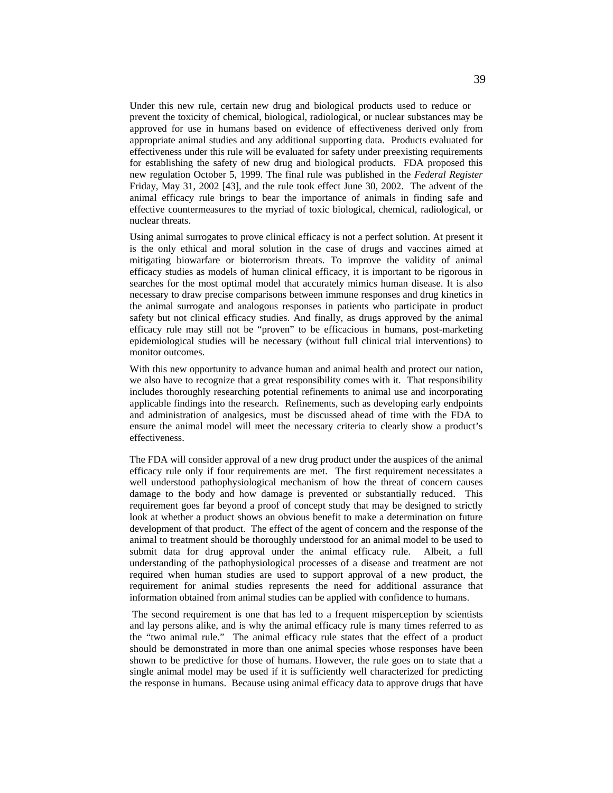Under this new rule, certain new drug and biological products used to reduce or prevent the toxicity of chemical, biological, radiological, or nuclear substances may be approved for use in humans based on evidence of effectiveness derived only from appropriate animal studies and any additional supporting data. Products evaluated for effectiveness under this rule will be evaluated for safety under preexisting requirements for establishing the safety of new drug and biological products. FDA proposed this new regulation October 5, 1999. The final rule was published in the *Federal Register* Friday, May 31, 2002 [43], and the rule took effect June 30, 2002. The advent of the animal efficacy rule brings to bear the importance of animals in finding safe and effective countermeasures to the myriad of toxic biological, chemical, radiological, or nuclear threats.

Using animal surrogates to prove clinical efficacy is not a perfect solution. At present it is the only ethical and moral solution in the case of drugs and vaccines aimed at mitigating biowarfare or bioterrorism threats. To improve the validity of animal efficacy studies as models of human clinical efficacy, it is important to be rigorous in searches for the most optimal model that accurately mimics human disease. It is also necessary to draw precise comparisons between immune responses and drug kinetics in the animal surrogate and analogous responses in patients who participate in product safety but not clinical efficacy studies. And finally, as drugs approved by the animal efficacy rule may still not be "proven" to be efficacious in humans, post-marketing epidemiological studies will be necessary (without full clinical trial interventions) to monitor outcomes.

With this new opportunity to advance human and animal health and protect our nation, we also have to recognize that a great responsibility comes with it. That responsibility includes thoroughly researching potential refinements to animal use and incorporating applicable findings into the research. Refinements, such as developing early endpoints and administration of analgesics, must be discussed ahead of time with the FDA to ensure the animal model will meet the necessary criteria to clearly show a product's effectiveness.

The FDA will consider approval of a new drug product under the auspices of the animal efficacy rule only if four requirements are met. The first requirement necessitates a well understood pathophysiological mechanism of how the threat of concern causes damage to the body and how damage is prevented or substantially reduced. This requirement goes far beyond a proof of concept study that may be designed to strictly look at whether a product shows an obvious benefit to make a determination on future development of that product. The effect of the agent of concern and the response of the animal to treatment should be thoroughly understood for an animal model to be used to submit data for drug approval under the animal efficacy rule. Albeit, a full understanding of the pathophysiological processes of a disease and treatment are not required when human studies are used to support approval of a new product, the requirement for animal studies represents the need for additional assurance that information obtained from animal studies can be applied with confidence to humans.

 The second requirement is one that has led to a frequent misperception by scientists and lay persons alike, and is why the animal efficacy rule is many times referred to as the "two animal rule." The animal efficacy rule states that the effect of a product should be demonstrated in more than one animal species whose responses have been shown to be predictive for those of humans. However, the rule goes on to state that a single animal model may be used if it is sufficiently well characterized for predicting the response in humans. Because using animal efficacy data to approve drugs that have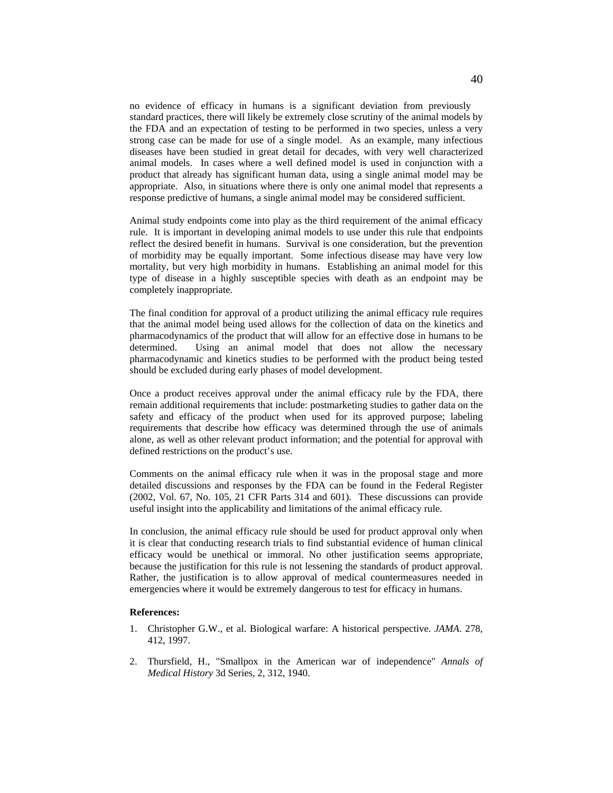no evidence of efficacy in humans is a significant deviation from previously standard practices, there will likely be extremely close scrutiny of the animal models by the FDA and an expectation of testing to be performed in two species, unless a very strong case can be made for use of a single model. As an example, many infectious diseases have been studied in great detail for decades, with very well characterized animal models. In cases where a well defined model is used in conjunction with a product that already has significant human data, using a single animal model may be appropriate. Also, in situations where there is only one animal model that represents a response predictive of humans, a single animal model may be considered sufficient.

Animal study endpoints come into play as the third requirement of the animal efficacy rule. It is important in developing animal models to use under this rule that endpoints reflect the desired benefit in humans. Survival is one consideration, but the prevention of morbidity may be equally important. Some infectious disease may have very low mortality, but very high morbidity in humans. Establishing an animal model for this type of disease in a highly susceptible species with death as an endpoint may be completely inappropriate.

The final condition for approval of a product utilizing the animal efficacy rule requires that the animal model being used allows for the collection of data on the kinetics and pharmacodynamics of the product that will allow for an effective dose in humans to be determined. Using an animal model that does not allow the necessary pharmacodynamic and kinetics studies to be performed with the product being tested should be excluded during early phases of model development.

Once a product receives approval under the animal efficacy rule by the FDA, there remain additional requirements that include: postmarketing studies to gather data on the safety and efficacy of the product when used for its approved purpose; labeling requirements that describe how efficacy was determined through the use of animals alone, as well as other relevant product information; and the potential for approval with defined restrictions on the product's use.

Comments on the animal efficacy rule when it was in the proposal stage and more detailed discussions and responses by the FDA can be found in the Federal Register (2002, Vol. 67, No. 105, 21 CFR Parts 314 and 601). These discussions can provide useful insight into the applicability and limitations of the animal efficacy rule.

In conclusion, the animal efficacy rule should be used for product approval only when it is clear that conducting research trials to find substantial evidence of human clinical efficacy would be unethical or immoral. No other justification seems appropriate, because the justification for this rule is not lessening the standards of product approval. Rather, the justification is to allow approval of medical countermeasures needed in emergencies where it would be extremely dangerous to test for efficacy in humans.

## **References:**

- 1. Christopher G.W., et al. Biological warfare: A historical perspective. *JAMA*. 278, 412, 1997.
- 2. Thursfield, H., "Smallpox in the American war of independence" *Annals of Medical History* 3d Series, 2, 312, 1940.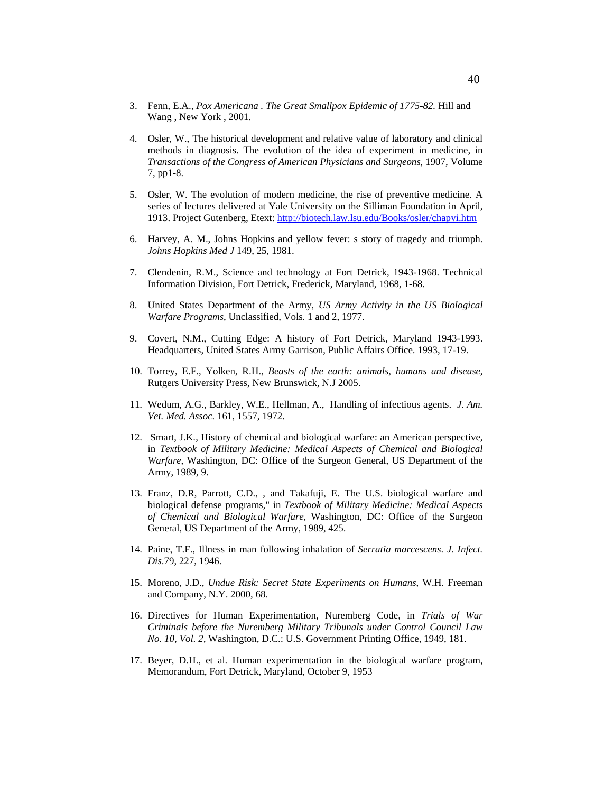- 3. Fenn, E.A., *Pox Americana . The Great Smallpox Epidemic of 1775-82.* Hill and Wang , New York , 2001.
- 4. Osler, W., The historical development and relative value of laboratory and clinical methods in diagnosis. The evolution of the idea of experiment in medicine, in *Transactions of the Congress of American Physicians and Surgeons*, 1907, Volume 7, pp1-8.
- 5. Osler, W. The evolution of modern medicine, the rise of preventive medicine. A series of lectures delivered at Yale University on the Silliman Foundation in April, 1913. Project Gutenberg, Etext: <http://biotech.law.lsu.edu/Books/osler/chapvi.htm>
- 6. Harvey, A. M., Johns Hopkins and yellow fever: s story of tragedy and triumph. *Johns Hopkins Med J* 149, 25, 1981.
- 7. Clendenin, R.M., Science and technology at Fort Detrick, 1943-1968. Technical Information Division, Fort Detrick, Frederick, Maryland, 1968, 1-68.
- 8. United States Department of the Army, *US Army Activity in the US Biological Warfare Programs*, Unclassified, Vols. 1 and 2, 1977.
- 9. Covert, N.M., Cutting Edge: A history of Fort Detrick, Maryland 1943-1993. Headquarters, United States Army Garrison, Public Affairs Office. 1993, 17-19.
- 10. Torrey, E.F., Yolken, R.H., *Beasts of the earth: animals, humans and disease*, Rutgers University Press, New Brunswick, N.J 2005.
- 11. Wedum, A.G., Barkley, W.E., Hellman, A., Handling of infectious agents. *J. Am. Vet. Med. Assoc*. 161, 1557, 1972.
- 12. Smart, J.K., History of chemical and biological warfare: an American perspective, in *Textbook of Military Medicine: Medical Aspects of Chemical and Biological Warfare,* Washington, DC: Office of the Surgeon General, US Department of the Army, 1989, 9.
- 13. Franz, D.R, Parrott, C.D., , and Takafuji, E. The U.S. biological warfare and biological defense programs," in *Textbook of Military Medicine: Medical Aspects of Chemical and Biological Warfare*, Washington, DC: Office of the Surgeon General, US Department of the Army, 1989, 425.
- 14. Paine, T.F., Illness in man following inhalation of *Serratia marcescens*. *J. Infect. Dis*.79, 227, 1946.
- 15. Moreno, J.D., *Undue Risk: Secret State Experiments on Humans*, W.H. Freeman and Company, N.Y. 2000, 68.
- 16. Directives for Human Experimentation, Nuremberg Code, in *Trials of War Criminals before the Nuremberg Military Tribunals under Control Council Law No. 10, Vol. 2,* Washington, D.C.: U.S. Government Printing Office, 1949, 181.
- 17. Beyer, D.H., et al. Human experimentation in the biological warfare program, Memorandum, Fort Detrick, Maryland, October 9, 1953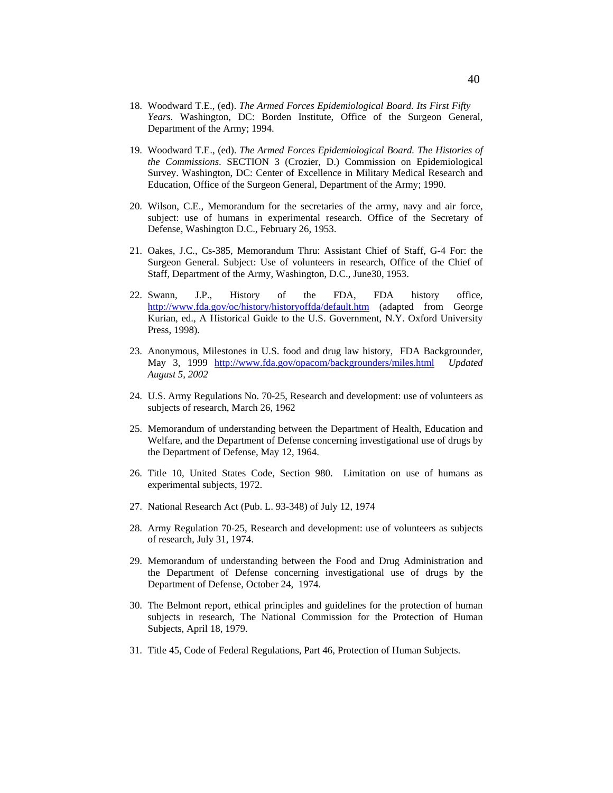- 18. Woodward T.E., (ed). *The Armed Forces Epidemiological Board. Its First Fifty Years*. Washington, DC: Borden Institute, Office of the Surgeon General, Department of the Army; 1994.
- 19. Woodward T.E., (ed). *The Armed Forces Epidemiological Board. The Histories of the Commissions*. SECTION 3 (Crozier, D.) Commission on Epidemiological Survey. Washington, DC: Center of Excellence in Military Medical Research and Education, Office of the Surgeon General, Department of the Army; 1990.
- 20. Wilson, C.E., Memorandum for the secretaries of the army, navy and air force, subject: use of humans in experimental research. Office of the Secretary of Defense, Washington D.C., February 26, 1953.
- 21. Oakes, J.C., Cs-385, Memorandum Thru: Assistant Chief of Staff, G-4 For: the Surgeon General. Subject: Use of volunteers in research, Office of the Chief of Staff, Department of the Army, Washington, D.C., June30, 1953.
- 22. Swann, J.P., History of the FDA, FDA history office, <http://www.fda.gov/oc/history/historyoffda/default.htm>(adapted from George Kurian, ed., A Historical Guide to the U.S. Government, N.Y. Oxford University Press, 1998).
- 23. Anonymous, Milestones in U.S. food and drug law history, FDA Backgrounder, May 3, 1999 <http://www.fda.gov/opacom/backgrounders/miles.html> *Updated August 5, 2002*
- 24. U.S. Army Regulations No. 70-25, Research and development: use of volunteers as subjects of research, March 26, 1962
- 25. Memorandum of understanding between the Department of Health, Education and Welfare, and the Department of Defense concerning investigational use of drugs by the Department of Defense, May 12, 1964.
- 26. Title 10, United States Code, Section 980. Limitation on use of humans as experimental subjects, 1972.
- 27. National Research Act (Pub. L. 93-348) of July 12, 1974
- 28. Army Regulation 70-25, Research and development: use of volunteers as subjects of research, July 31, 1974.
- 29. Memorandum of understanding between the Food and Drug Administration and the Department of Defense concerning investigational use of drugs by the Department of Defense, October 24, 1974.
- 30. The Belmont report, ethical principles and guidelines for the protection of human subjects in research, The National Commission for the Protection of Human Subjects, April 18, 1979.
- 31. Title 45, Code of Federal Regulations, Part 46, Protection of Human Subjects.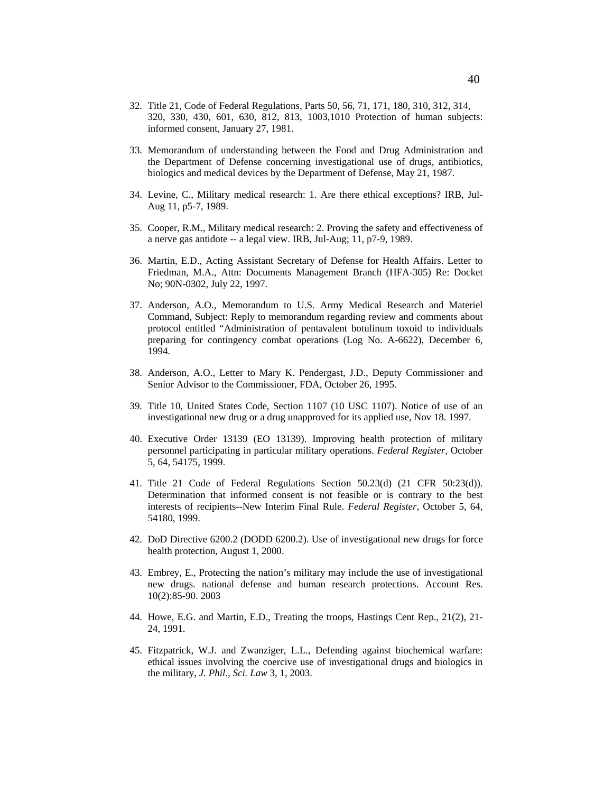- 32. Title 21, Code of Federal Regulations, Parts 50, 56, 71, 171, 180, 310, 312, 314, 320, 330, 430, 601, 630, 812, 813, 1003,1010 Protection of human subjects: informed consent, January 27, 1981.
- 33. Memorandum of understanding between the Food and Drug Administration and the Department of Defense concerning investigational use of drugs, antibiotics, biologics and medical devices by the Department of Defense, May 21, 1987.
- 34. Levine, C., Military medical research: 1. Are there ethical exceptions? IRB, Jul-Aug 11, p5-7, 1989.
- 35. Cooper, R.M., Military medical research: 2. Proving the safety and effectiveness of a nerve gas antidote -- a legal view. IRB, Jul-Aug; 11, p7-9, 1989.
- 36. Martin, E.D., Acting Assistant Secretary of Defense for Health Affairs. Letter to Friedman, M.A., Attn: Documents Management Branch (HFA-305) Re: Docket No; 90N-0302, July 22, 1997.
- 37. Anderson, A.O., Memorandum to U.S. Army Medical Research and Materiel Command, Subject: Reply to memorandum regarding review and comments about protocol entitled "Administration of pentavalent botulinum toxoid to individuals preparing for contingency combat operations (Log No. A-6622), December 6, 1994.
- 38. Anderson, A.O., Letter to Mary K. Pendergast, J.D., Deputy Commissioner and Senior Advisor to the Commissioner, FDA, October 26, 1995.
- 39. Title 10, United States Code, Section 1107 (10 USC 1107). Notice of use of an investigational new drug or a drug unapproved for its applied use, Nov 18. 1997.
- 40. Executive Order 13139 (EO 13139). Improving health protection of military personnel participating in particular military operations. *Federal Register,* October 5, 64, 54175, 1999.
- 41. Title 21 Code of Federal Regulations Section 50.23(d) (21 CFR 50:23(d)). Determination that informed consent is not feasible or is contrary to the best interests of recipients--New Interim Final Rule. *Federal Register,* October 5, 64, 54180, 1999.
- 42. DoD Directive 6200.2 (DODD 6200.2). Use of investigational new drugs for force health protection, August 1, 2000.
- 43. Embrey, E., Protecting the nation's military may include the use of investigational new drugs. national defense and human research protections. Account Res. 10(2):85-90. 2003
- 44. Howe, E.G. and Martin, E.D., Treating the troops, Hastings Cent Rep., 21(2), 21- 24, 1991.
- 45. Fitzpatrick, W.J. and Zwanziger, L.L., Defending against biochemical warfare: ethical issues involving the coercive use of investigational drugs and biologics in the military, *J. Phil., Sci. Law* 3, 1, 2003.